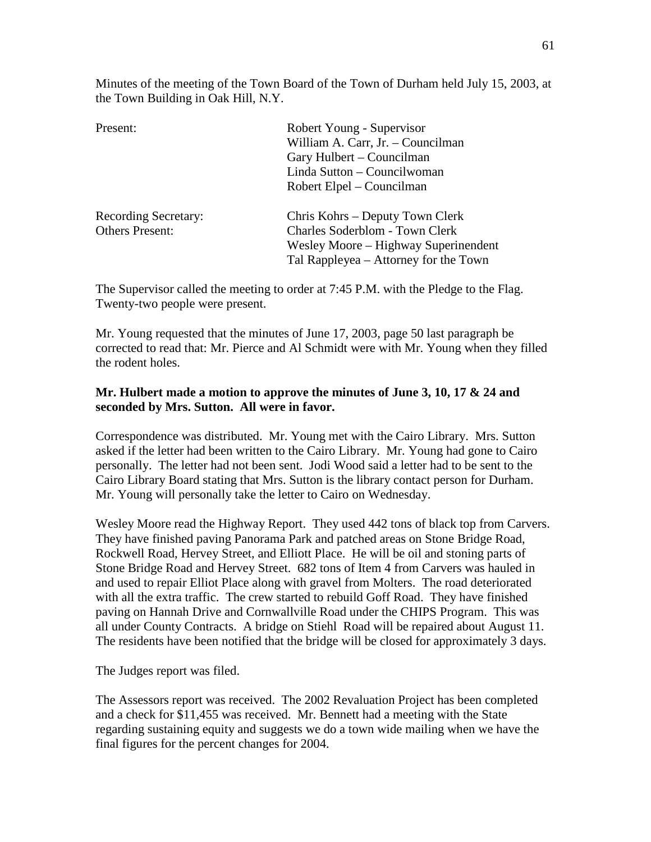Minutes of the meeting of the Town Board of the Town of Durham held July 15, 2003, at the Town Building in Oak Hill, N.Y.

| Present:                    | Robert Young - Supervisor             |
|-----------------------------|---------------------------------------|
|                             | William A. Carr, Jr. - Councilman     |
|                             | Gary Hulbert – Councilman             |
|                             | Linda Sutton – Councilwoman           |
|                             | Robert Elpel – Councilman             |
| <b>Recording Secretary:</b> | Chris Kohrs – Deputy Town Clerk       |
| <b>Others Present:</b>      | <b>Charles Soderblom - Town Clerk</b> |
|                             | Wesley Moore – Highway Superinendent  |
|                             | Tal Rappleyea – Attorney for the Town |
|                             |                                       |

The Supervisor called the meeting to order at 7:45 P.M. with the Pledge to the Flag. Twenty-two people were present.

Mr. Young requested that the minutes of June 17, 2003, page 50 last paragraph be corrected to read that: Mr. Pierce and Al Schmidt were with Mr. Young when they filled the rodent holes.

## **Mr. Hulbert made a motion to approve the minutes of June 3, 10, 17 & 24 and seconded by Mrs. Sutton. All were in favor.**

Correspondence was distributed. Mr. Young met with the Cairo Library. Mrs. Sutton asked if the letter had been written to the Cairo Library. Mr. Young had gone to Cairo personally. The letter had not been sent. Jodi Wood said a letter had to be sent to the Cairo Library Board stating that Mrs. Sutton is the library contact person for Durham. Mr. Young will personally take the letter to Cairo on Wednesday.

Wesley Moore read the Highway Report. They used 442 tons of black top from Carvers. They have finished paving Panorama Park and patched areas on Stone Bridge Road, Rockwell Road, Hervey Street, and Elliott Place. He will be oil and stoning parts of Stone Bridge Road and Hervey Street. 682 tons of Item 4 from Carvers was hauled in and used to repair Elliot Place along with gravel from Molters. The road deteriorated with all the extra traffic. The crew started to rebuild Goff Road. They have finished paving on Hannah Drive and Cornwallville Road under the CHIPS Program. This was all under County Contracts. A bridge on Stiehl Road will be repaired about August 11. The residents have been notified that the bridge will be closed for approximately 3 days.

The Judges report was filed.

The Assessors report was received. The 2002 Revaluation Project has been completed and a check for \$11,455 was received. Mr. Bennett had a meeting with the State regarding sustaining equity and suggests we do a town wide mailing when we have the final figures for the percent changes for 2004.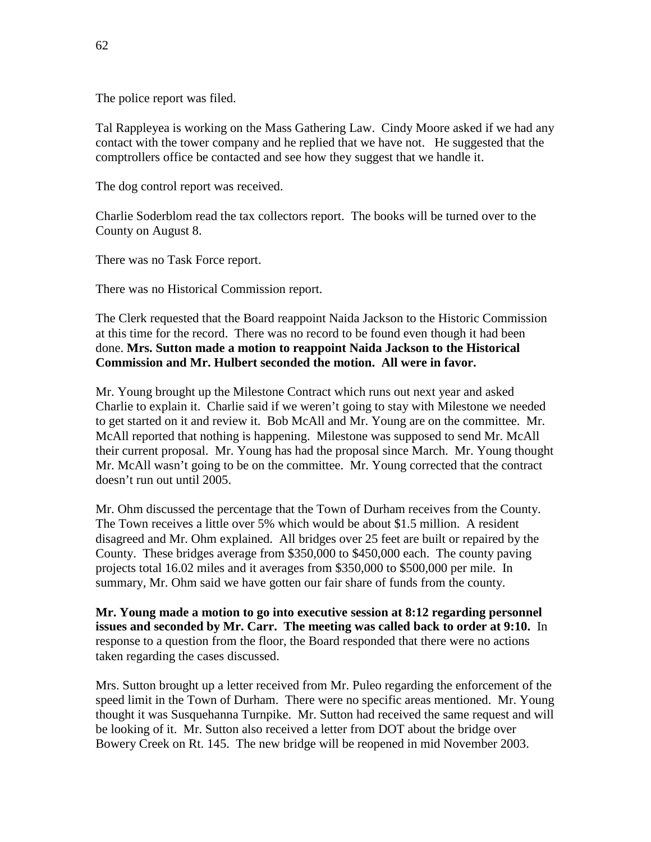The police report was filed.

Tal Rappleyea is working on the Mass Gathering Law. Cindy Moore asked if we had any contact with the tower company and he replied that we have not. He suggested that the comptrollers office be contacted and see how they suggest that we handle it.

The dog control report was received.

Charlie Soderblom read the tax collectors report. The books will be turned over to the County on August 8.

There was no Task Force report.

There was no Historical Commission report.

The Clerk requested that the Board reappoint Naida Jackson to the Historic Commission at this time for the record. There was no record to be found even though it had been done. **Mrs. Sutton made a motion to reappoint Naida Jackson to the Historical Commission and Mr. Hulbert seconded the motion. All were in favor.**

Mr. Young brought up the Milestone Contract which runs out next year and asked Charlie to explain it. Charlie said if we weren't going to stay with Milestone we needed to get started on it and review it. Bob McAll and Mr. Young are on the committee. Mr. McAll reported that nothing is happening. Milestone was supposed to send Mr. McAll their current proposal. Mr. Young has had the proposal since March. Mr. Young thought Mr. McAll wasn't going to be on the committee. Mr. Young corrected that the contract doesn't run out until 2005.

Mr. Ohm discussed the percentage that the Town of Durham receives from the County. The Town receives a little over 5% which would be about \$1.5 million. A resident disagreed and Mr. Ohm explained. All bridges over 25 feet are built or repaired by the County. These bridges average from \$350,000 to \$450,000 each. The county paving projects total 16.02 miles and it averages from \$350,000 to \$500,000 per mile. In summary, Mr. Ohm said we have gotten our fair share of funds from the county.

**Mr. Young made a motion to go into executive session at 8:12 regarding personnel issues and seconded by Mr. Carr. The meeting was called back to order at 9:10.** In response to a question from the floor, the Board responded that there were no actions taken regarding the cases discussed.

Mrs. Sutton brought up a letter received from Mr. Puleo regarding the enforcement of the speed limit in the Town of Durham. There were no specific areas mentioned. Mr. Young thought it was Susquehanna Turnpike. Mr. Sutton had received the same request and will be looking of it. Mr. Sutton also received a letter from DOT about the bridge over Bowery Creek on Rt. 145. The new bridge will be reopened in mid November 2003.